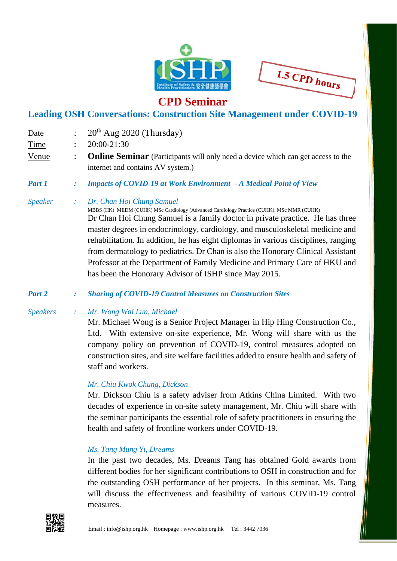

1.5 CPD hours

## **CPD Seminar**

### **Leading OSH Conversations: Construction Site Management under COVID-19**

Date :  $20<sup>th</sup>$  Aug 2020 (Thursday) Time : 20:00-21:30 Venue : **Online Seminar** (Participants will only need a device which can get access to the internet and contains AV system.) *Part 1 : Impacts of COVID-19 at Work Environment - A Medical Point of View Speaker : Dr. Chan Hoi Chung Samuel*  MBBS (HK) MEDM (CUHK) MSc Cardiology (Advanced Cardiology Practice (CUHK), MSc MMR (CUHK) Dr Chan Hoi Chung Samuel is a family doctor in private practice. He has three master degrees in endocrinology, cardiology, and musculoskeletal medicine and rehabilitation. In addition, he has eight diplomas in various disciplines, ranging from dermatology to pediatrics. Dr Chan is also the Honorary Clinical Assistant Professor at the Department of Family Medicine and Primary Care of HKU and has been the Honorary Advisor of ISHP since May 2015.

*Part 2 : Sharing of COVID-19 Control Measures on Construction Sites* 

*Speakers : Mr. Wong Wai Lun, Michael*

 Mr. Michael Wong is a Senior Project Manager in Hip Hing Construction Co., Ltd. With extensive on-site experience, Mr. Wong will share with us the company policy on prevention of COVID-19, control measures adopted on construction sites, and site welfare facilities added to ensure health and safety of staff and workers.

#### *Mr. Chiu Kwok Chung, Dickson*

 Mr. Dickson Chiu is a safety adviser from Atkins China Limited. With two decades of experience in on-site safety management, Mr. Chiu will share with the seminar participants the essential role of safety practitioners in ensuring the health and safety of frontline workers under COVID-19.

#### *Ms. Tang Mung Yi, Dreams*

 In the past two decades, Ms. Dreams Tang has obtained Gold awards from different bodies for her significant contributions to OSH in construction and for the outstanding OSH performance of her projects. In this seminar, Ms. Tang will discuss the effectiveness and feasibility of various COVID-19 control measures.